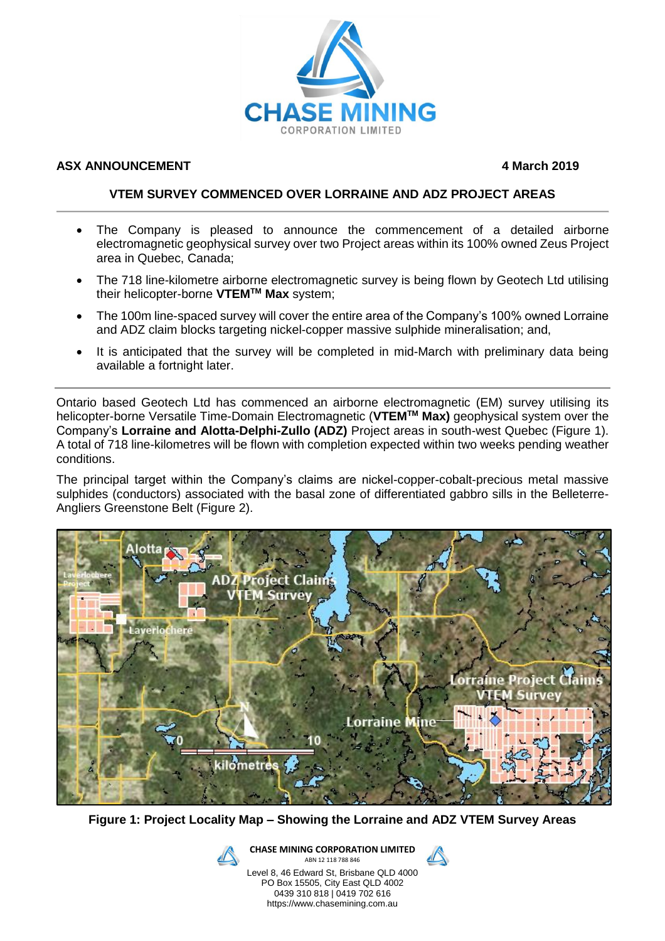

## **ASX ANNOUNCEMENT 4 March 2019**

## **VTEM SURVEY COMMENCED OVER LORRAINE AND ADZ PROJECT AREAS**

- The Company is pleased to announce the commencement of a detailed airborne electromagnetic geophysical survey over two Project areas within its 100% owned Zeus Project area in Quebec, Canada;
- The 718 line-kilometre airborne electromagnetic survey is being flown by Geotech Ltd utilising their helicopter-borne **VTEMTM Max** system;
- The 100m line-spaced survey will cover the entire area of the Company's 100% owned Lorraine and ADZ claim blocks targeting nickel-copper massive sulphide mineralisation; and,
- It is anticipated that the survey will be completed in mid-March with preliminary data being available a fortnight later.

Ontario based Geotech Ltd has commenced an airborne electromagnetic (EM) survey utilising its helicopter-borne Versatile Time-Domain Electromagnetic (**VTEMTM Max)** geophysical system over the Company's **Lorraine and Alotta-Delphi-Zullo (ADZ)** Project areas in south-west Quebec (Figure 1). A total of 718 line-kilometres will be flown with completion expected within two weeks pending weather conditions.

The principal target within the Company's claims are nickel-copper-cobalt-precious metal massive sulphides (conductors) associated with the basal zone of differentiated gabbro sills in the Belleterre-Angliers Greenstone Belt (Figure 2).



**Figure 1: Project Locality Map – Showing the Lorraine and ADZ VTEM Survey Areas**

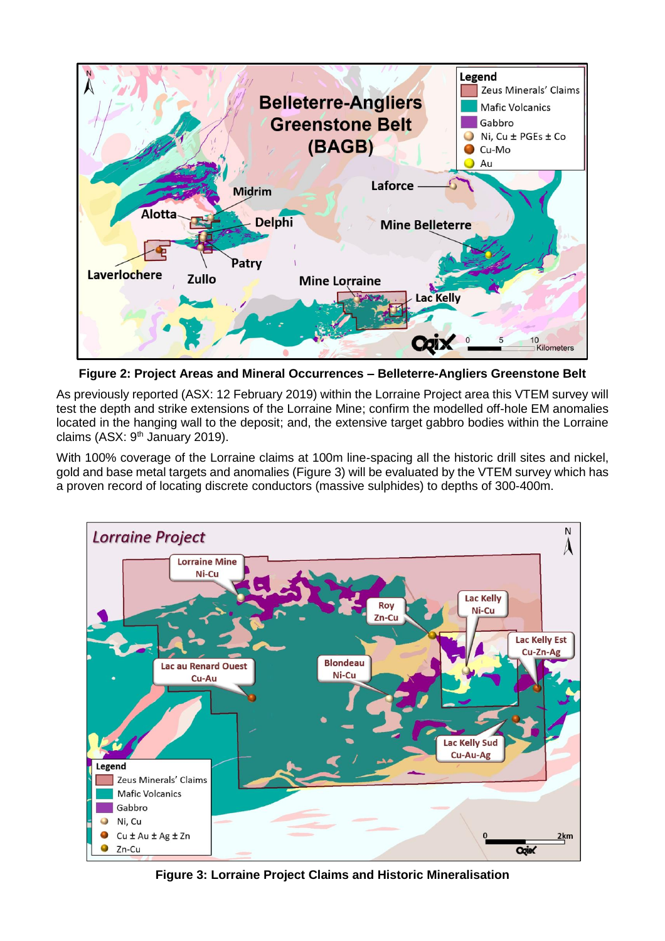

**Figure 2: Project Areas and Mineral Occurrences – Belleterre-Angliers Greenstone Belt** 

As previously reported (ASX: 12 February 2019) within the Lorraine Project area this VTEM survey will test the depth and strike extensions of the Lorraine Mine; confirm the modelled off-hole EM anomalies located in the hanging wall to the deposit; and, the extensive target gabbro bodies within the Lorraine claims (ASX: 9<sup>th</sup> January 2019).

With 100% coverage of the Lorraine claims at 100m line-spacing all the historic drill sites and nickel, gold and base metal targets and anomalies (Figure 3) will be evaluated by the VTEM survey which has a proven record of locating discrete conductors (massive sulphides) to depths of 300-400m.



**Figure 3: Lorraine Project Claims and Historic Mineralisation**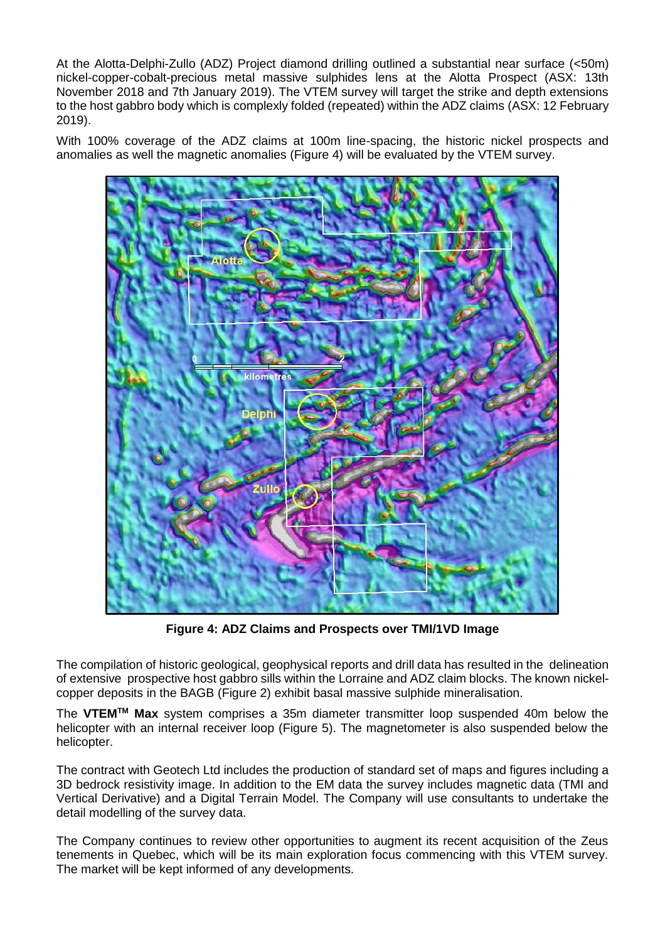At the Alotta-Delphi-Zullo (ADZ) Project diamond drilling outlined a substantial near surface (<50m) nickel-copper-cobalt-precious metal massive sulphides lens at the Alotta Prospect (ASX: 13th November 2018 and 7th January 2019). The VTEM survey will target the strike and depth extensions to the host gabbro body which is complexly folded (repeated) within the ADZ claims (ASX: 12 February 2019).

With 100% coverage of the ADZ claims at 100m line-spacing, the historic nickel prospects and anomalies as well the magnetic anomalies (Figure 4) will be evaluated by the VTEM survey.



**Figure 4: ADZ Claims and Prospects over TMI/1VD Image**

The compilation of historic geological, geophysical reports and drill data has resulted in the delineation of extensive prospective host gabbro sills within the Lorraine and ADZ claim blocks. The known nickelcopper deposits in the BAGB (Figure 2) exhibit basal massive sulphide mineralisation.

The **VTEMTM Max** system comprises a 35m diameter transmitter loop suspended 40m below the helicopter with an internal receiver loop (Figure 5). The magnetometer is also suspended below the helicopter.

The contract with Geotech Ltd includes the production of standard set of maps and figures including a 3D bedrock resistivity image. In addition to the EM data the survey includes magnetic data (TMI and Vertical Derivative) and a Digital Terrain Model. The Company will use consultants to undertake the detail modelling of the survey data.

The Company continues to review other opportunities to augment its recent acquisition of the Zeus tenements in Quebec, which will be its main exploration focus commencing with this VTEM survey. The market will be kept informed of any developments.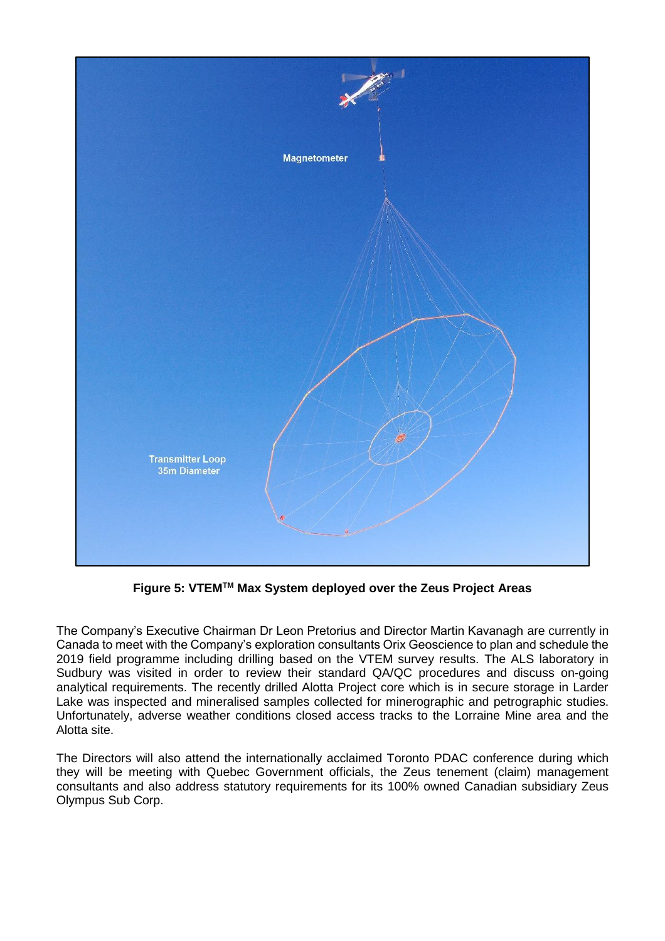

**Figure 5: VTEMTM Max System deployed over the Zeus Project Areas**

The Company's Executive Chairman Dr Leon Pretorius and Director Martin Kavanagh are currently in Canada to meet with the Company's exploration consultants Orix Geoscience to plan and schedule the 2019 field programme including drilling based on the VTEM survey results. The ALS laboratory in Sudbury was visited in order to review their standard QA/QC procedures and discuss on-going analytical requirements. The recently drilled Alotta Project core which is in secure storage in Larder Lake was inspected and mineralised samples collected for minerographic and petrographic studies. Unfortunately, adverse weather conditions closed access tracks to the Lorraine Mine area and the Alotta site.

The Directors will also attend the internationally acclaimed Toronto PDAC conference during which they will be meeting with Quebec Government officials, the Zeus tenement (claim) management consultants and also address statutory requirements for its 100% owned Canadian subsidiary Zeus Olympus Sub Corp.